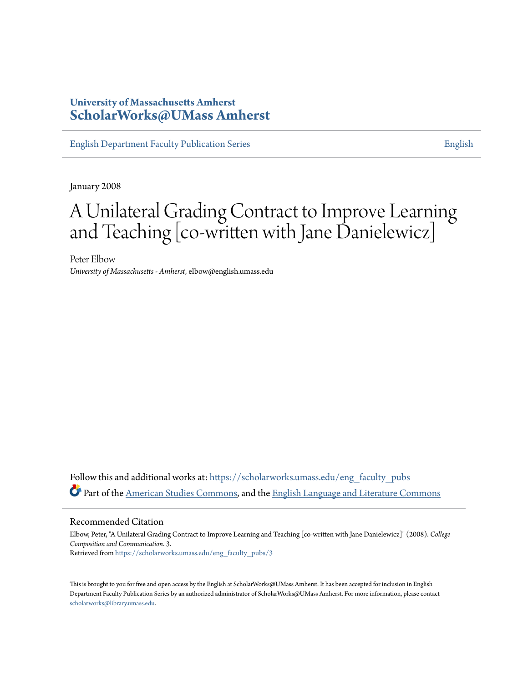## **University of Massachusetts Amherst [ScholarWorks@UMass Amherst](https://scholarworks.umass.edu?utm_source=scholarworks.umass.edu%2Feng_faculty_pubs%2F3&utm_medium=PDF&utm_campaign=PDFCoverPages)**

[English Department Faculty Publication Series](https://scholarworks.umass.edu/eng_faculty_pubs?utm_source=scholarworks.umass.edu%2Feng_faculty_pubs%2F3&utm_medium=PDF&utm_campaign=PDFCoverPages) [English](https://scholarworks.umass.edu/english?utm_source=scholarworks.umass.edu%2Feng_faculty_pubs%2F3&utm_medium=PDF&utm_campaign=PDFCoverPages)

January 2008

# A Unilateral Grading Contract to Improve Learning and Teaching [co-written with Jane Danielewicz]

Peter Elbow *University of Massachusetts - Amherst*, elbow@english.umass.edu

Follow this and additional works at: [https://scholarworks.umass.edu/eng\\_faculty\\_pubs](https://scholarworks.umass.edu/eng_faculty_pubs?utm_source=scholarworks.umass.edu%2Feng_faculty_pubs%2F3&utm_medium=PDF&utm_campaign=PDFCoverPages) Part of the [American Studies Commons](http://network.bepress.com/hgg/discipline/439?utm_source=scholarworks.umass.edu%2Feng_faculty_pubs%2F3&utm_medium=PDF&utm_campaign=PDFCoverPages), and the [English Language and Literature Commons](http://network.bepress.com/hgg/discipline/455?utm_source=scholarworks.umass.edu%2Feng_faculty_pubs%2F3&utm_medium=PDF&utm_campaign=PDFCoverPages)

#### Recommended Citation

Elbow, Peter, "A Unilateral Grading Contract to Improve Learning and Teaching [co-written with Jane Danielewicz]" (2008). *College Composition and Communication*. 3. Retrieved from [https://scholarworks.umass.edu/eng\\_faculty\\_pubs/3](https://scholarworks.umass.edu/eng_faculty_pubs/3?utm_source=scholarworks.umass.edu%2Feng_faculty_pubs%2F3&utm_medium=PDF&utm_campaign=PDFCoverPages)

This is brought to you for free and open access by the English at ScholarWorks@UMass Amherst. It has been accepted for inclusion in English Department Faculty Publication Series by an authorized administrator of ScholarWorks@UMass Amherst. For more information, please contact [scholarworks@library.umass.edu](mailto:scholarworks@library.umass.edu).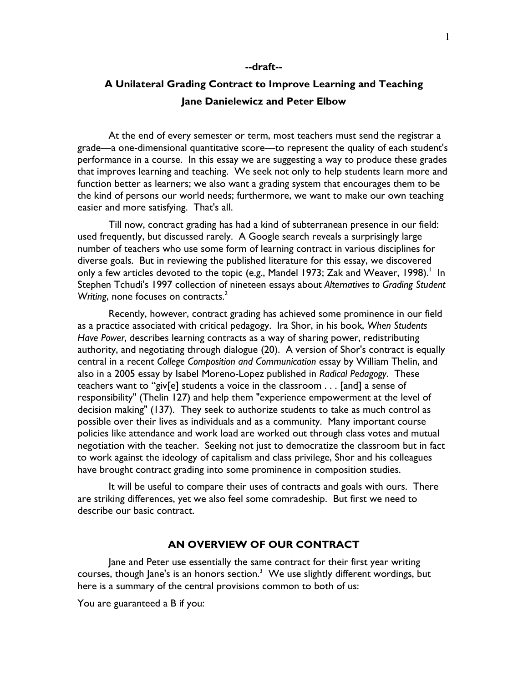#### --draft--

# A Unilateral Grading Contract to Improve Learning and Teaching Jane Danielewicz and Peter Elbow

 At the end of every semester or term, most teachers must send the registrar a grade—a one-dimensional quantitative score—to represent the quality of each student's performance in a course. In this essay we are suggesting a way to produce these grades that improves learning and teaching. We seek not only to help students learn more and function better as learners; we also want a grading system that encourages them to be the kind of persons our world needs; furthermore, we want to make our own teaching easier and more satisfying. That's all.

Till now, contract grading has had a kind of subterranean presence in our field: used frequently, but discussed rarely. A Google search reveals a surprisingly large number of teachers who use some form of learning contract in various disciplines for diverse goals. But in reviewing the published literature for this essay, we discovered only a few articles devoted to the topic (e.g., Mandel 1973; Zak and Weaver, 1998).<sup>1</sup> In Stephen Tchudi's 1997 collection of nineteen essays about Alternatives to Grading Student Writing, none focuses on contracts. $2$ 

 Recently, however, contract grading has achieved some prominence in our field as a practice associated with critical pedagogy. Ira Shor, in his book, When Students Have Power, describes learning contracts as a way of sharing power, redistributing authority, and negotiating through dialogue (20). A version of Shor's contract is equally central in a recent College Composition and Communication essay by William Thelin, and also in a 2005 essay by Isabel Moreno-Lopez published in Radical Pedagogy. These teachers want to "giv[e] students a voice in the classroom . . . [and] a sense of responsibility" (Thelin 127) and help them "experience empowerment at the level of decision making" (137). They seek to authorize students to take as much control as possible over their lives as individuals and as a community. Many important course policies like attendance and work load are worked out through class votes and mutual negotiation with the teacher. Seeking not just to democratize the classroom but in fact to work against the ideology of capitalism and class privilege, Shor and his colleagues have brought contract grading into some prominence in composition studies.

 It will be useful to compare their uses of contracts and goals with ours. There are striking differences, yet we also feel some comradeship. But first we need to describe our basic contract.

## AN OVERVIEW OF OUR CONTRACT

 Jane and Peter use essentially the same contract for their first year writing courses, though Jane's is an honors section. $^3$  We use slightly different wordings, but here is a summary of the central provisions common to both of us:

You are guaranteed a B if you: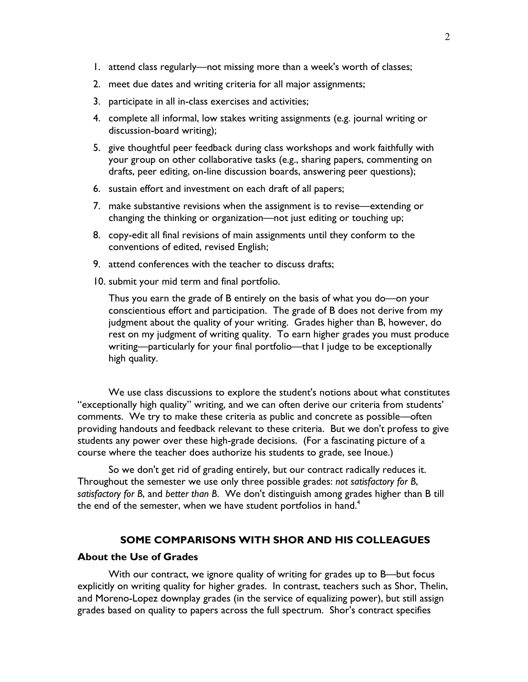- 1. attend class regularly—not missing more than a week's worth of classes;
- 2. meet due dates and writing criteria for all major assignments;
- 3. participate in all in-class exercises and activities;
- 4. complete all informal, low stakes writing assignments (e.g. journal writing or discussion-board writing);
- 5. give thoughtful peer feedback during class workshops and work faithfully with your group on other collaborative tasks (e.g., sharing papers, commenting on drafts, peer editing, on-line discussion boards, answering peer questions);
- 6. sustain effort and investment on each draft of all papers;
- 7. make substantive revisions when the assignment is to revise—extending or changing the thinking or organization—not just editing or touching up;
- 8. copy-edit all final revisions of main assignments until they conform to the conventions of edited, revised English;
- 9. attend conferences with the teacher to discuss drafts;
- 10. submit your mid term and final portfolio.

Thus you earn the grade of B entirely on the basis of what you do—on your conscientious effort and participation. The grade of B does not derive from my judgment about the quality of your writing. Grades higher than B, however, do rest on my judgment of writing quality. To earn higher grades you must produce writing—particularly for your final portfolio—that I judge to be exceptionally high quality.

 We use class discussions to explore the student's notions about what constitutes "exceptionally high quality" writing, and we can often derive our criteria from students' comments. We try to make these criteria as public and concrete as possible—often providing handouts and feedback relevant to these criteria. But we don't profess to give students any power over these high-grade decisions. (For a fascinating picture of a course where the teacher does authorize his students to grade, see Inoue.)

 So we don't get rid of grading entirely, but our contract radically reduces it. Throughout the semester we use only three possible grades: not satisfactory for B, satisfactory for B, and better than B. We don't distinguish among grades higher than B till the end of the semester, when we have student portfolios in hand.<sup>4</sup>

## SOME COMPARISONS WITH SHOR AND HIS COLLEAGUES

#### About the Use of Grades

With our contract, we ignore quality of writing for grades up to B—but focus explicitly on writing quality for higher grades. In contrast, teachers such as Shor, Thelin, and Moreno-Lopez downplay grades (in the service of equalizing power), but still assign grades based on quality to papers across the full spectrum. Shor's contract specifies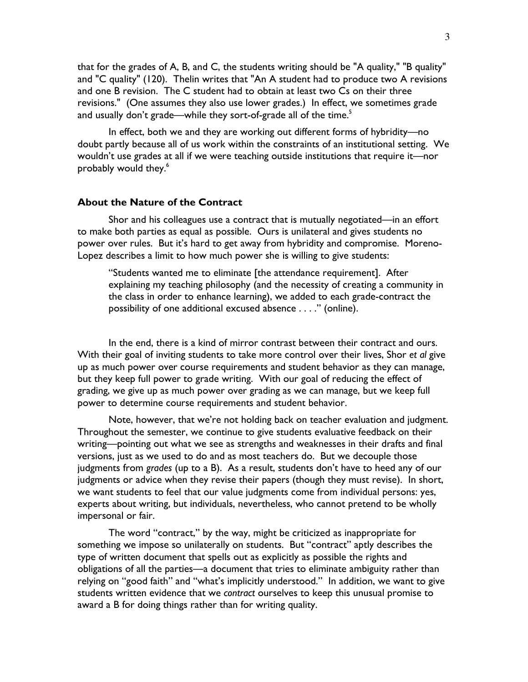that for the grades of A, B, and C, the students writing should be "A quality," "B quality" and "C quality" (120). Thelin writes that "An A student had to produce two A revisions and one B revision. The C student had to obtain at least two Cs on their three revisions." (One assumes they also use lower grades.) In effect, we sometimes grade and usually don't grade—while they sort-of-grade all of the time.<sup>5</sup>

 In effect, both we and they are working out different forms of hybridity—no doubt partly because all of us work within the constraints of an institutional setting. We wouldn't use grades at all if we were teaching outside institutions that require it—nor probably would they.<sup>6</sup>

#### About the Nature of the Contract

 Shor and his colleagues use a contract that is mutually negotiated—in an effort to make both parties as equal as possible. Ours is unilateral and gives students no power over rules. But it's hard to get away from hybridity and compromise. Moreno-Lopez describes a limit to how much power she is willing to give students:

"Students wanted me to eliminate [the attendance requirement]. After explaining my teaching philosophy (and the necessity of creating a community in the class in order to enhance learning), we added to each grade-contract the possibility of one additional excused absence . . . ." (online).

 In the end, there is a kind of mirror contrast between their contract and ours. With their goal of inviting students to take more control over their lives, Shor et al give up as much power over course requirements and student behavior as they can manage, but they keep full power to grade writing. With our goal of reducing the effect of grading, we give up as much power over grading as we can manage, but we keep full power to determine course requirements and student behavior.

 Note, however, that we're not holding back on teacher evaluation and judgment. Throughout the semester, we continue to give students evaluative feedback on their writing—pointing out what we see as strengths and weaknesses in their drafts and final versions, just as we used to do and as most teachers do. But we decouple those judgments from grades (up to a B). As a result, students don't have to heed any of our judgments or advice when they revise their papers (though they must revise). In short, we want students to feel that our value judgments come from individual persons: yes, experts about writing, but individuals, nevertheless, who cannot pretend to be wholly impersonal or fair.

 The word "contract," by the way, might be criticized as inappropriate for something we impose so unilaterally on students. But "contract" aptly describes the type of written document that spells out as explicitly as possible the rights and obligations of all the parties—a document that tries to eliminate ambiguity rather than relying on "good faith" and "what's implicitly understood." In addition, we want to give students written evidence that we contract ourselves to keep this unusual promise to award a B for doing things rather than for writing quality.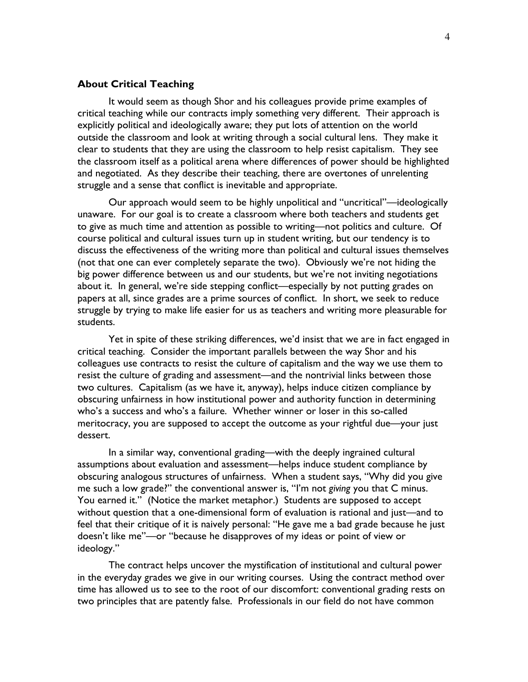## About Critical Teaching

 It would seem as though Shor and his colleagues provide prime examples of critical teaching while our contracts imply something very different. Their approach is explicitly political and ideologically aware; they put lots of attention on the world outside the classroom and look at writing through a social cultural lens. They make it clear to students that they are using the classroom to help resist capitalism. They see the classroom itself as a political arena where differences of power should be highlighted and negotiated. As they describe their teaching, there are overtones of unrelenting struggle and a sense that conflict is inevitable and appropriate.

 Our approach would seem to be highly unpolitical and "uncritical"—ideologically unaware. For our goal is to create a classroom where both teachers and students get to give as much time and attention as possible to writing—not politics and culture. Of course political and cultural issues turn up in student writing, but our tendency is to discuss the effectiveness of the writing more than political and cultural issues themselves (not that one can ever completely separate the two). Obviously we're not hiding the big power difference between us and our students, but we're not inviting negotiations about it. In general, we're side stepping conflict—especially by not putting grades on papers at all, since grades are a prime sources of conflict. In short, we seek to reduce struggle by trying to make life easier for us as teachers and writing more pleasurable for students.

 Yet in spite of these striking differences, we'd insist that we are in fact engaged in critical teaching. Consider the important parallels between the way Shor and his colleagues use contracts to resist the culture of capitalism and the way we use them to resist the culture of grading and assessment—and the nontrivial links between those two cultures. Capitalism (as we have it, anyway), helps induce citizen compliance by obscuring unfairness in how institutional power and authority function in determining who's a success and who's a failure. Whether winner or loser in this so-called meritocracy, you are supposed to accept the outcome as your rightful due—your just dessert.

 In a similar way, conventional grading—with the deeply ingrained cultural assumptions about evaluation and assessment—helps induce student compliance by obscuring analogous structures of unfairness. When a student says, "Why did you give me such a low grade?" the conventional answer is, "I'm not giving you that C minus. You earned it." (Notice the market metaphor.) Students are supposed to accept without question that a one-dimensional form of evaluation is rational and just—and to feel that their critique of it is naively personal: "He gave me a bad grade because he just doesn't like me"—or "because he disapproves of my ideas or point of view or ideology."

 The contract helps uncover the mystification of institutional and cultural power in the everyday grades we give in our writing courses. Using the contract method over time has allowed us to see to the root of our discomfort: conventional grading rests on two principles that are patently false. Professionals in our field do not have common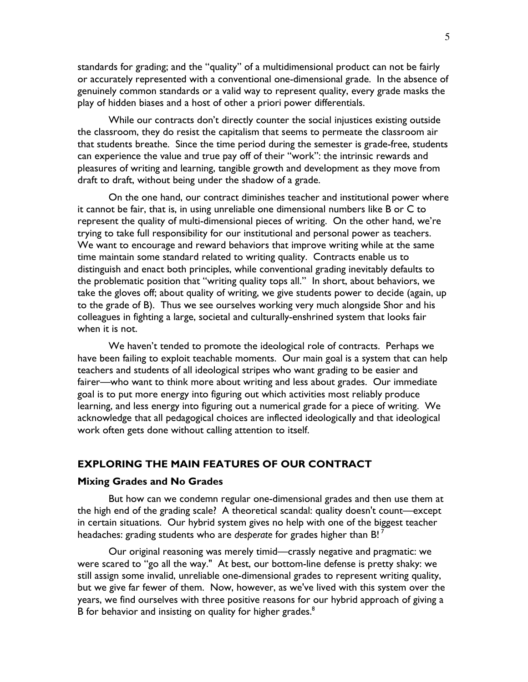standards for grading; and the "quality" of a multidimensional product can not be fairly or accurately represented with a conventional one-dimensional grade. In the absence of genuinely common standards or a valid way to represent quality, every grade masks the play of hidden biases and a host of other a priori power differentials.

 While our contracts don't directly counter the social injustices existing outside the classroom, they do resist the capitalism that seems to permeate the classroom air that students breathe. Since the time period during the semester is grade-free, students can experience the value and true pay off of their "work": the intrinsic rewards and pleasures of writing and learning, tangible growth and development as they move from draft to draft, without being under the shadow of a grade.

 On the one hand, our contract diminishes teacher and institutional power where it cannot be fair, that is, in using unreliable one dimensional numbers like B or C to represent the quality of multi-dimensional pieces of writing. On the other hand, we're trying to take full responsibility for our institutional and personal power as teachers. We want to encourage and reward behaviors that improve writing while at the same time maintain some standard related to writing quality. Contracts enable us to distinguish and enact both principles, while conventional grading inevitably defaults to the problematic position that "writing quality tops all." In short, about behaviors, we take the gloves off; about quality of writing, we give students power to decide (again, up to the grade of B). Thus we see ourselves working very much alongside Shor and his colleagues in fighting a large, societal and culturally-enshrined system that looks fair when it is not.

 We haven't tended to promote the ideological role of contracts. Perhaps we have been failing to exploit teachable moments. Our main goal is a system that can help teachers and students of all ideological stripes who want grading to be easier and fairer—who want to think more about writing and less about grades. Our immediate goal is to put more energy into figuring out which activities most reliably produce learning, and less energy into figuring out a numerical grade for a piece of writing. We acknowledge that all pedagogical choices are inflected ideologically and that ideological work often gets done without calling attention to itself.

## EXPLORING THE MAIN FEATURES OF OUR CONTRACT

#### Mixing Grades and No Grades

 But how can we condemn regular one-dimensional grades and then use them at the high end of the grading scale? A theoretical scandal: quality doesn't count—except in certain situations. Our hybrid system gives no help with one of the biggest teacher headaches: grading students who are desperate for grades higher than B!  $^7$ 

 Our original reasoning was merely timid—crassly negative and pragmatic: we were scared to "go all the way." At best, our bottom-line defense is pretty shaky: we still assign some invalid, unreliable one-dimensional grades to represent writing quality, but we give far fewer of them. Now, however, as we've lived with this system over the years, we find ourselves with three positive reasons for our hybrid approach of giving a B for behavior and insisting on quality for higher grades.<sup>8</sup>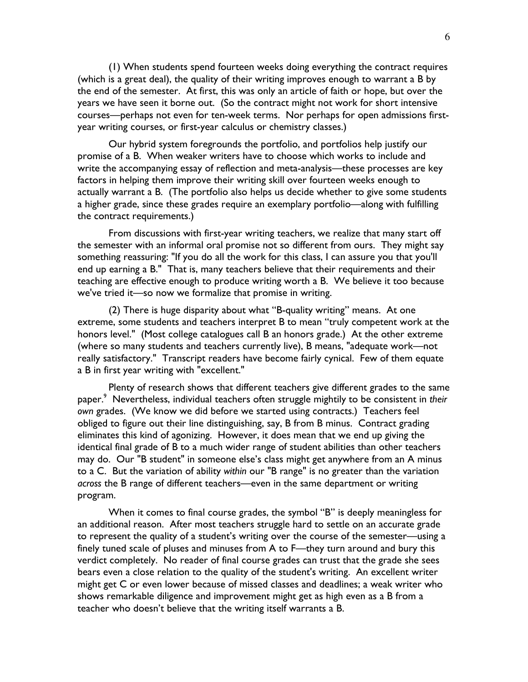(1) When students spend fourteen weeks doing everything the contract requires (which is a great deal), the quality of their writing improves enough to warrant a B by the end of the semester. At first, this was only an article of faith or hope, but over the years we have seen it borne out. (So the contract might not work for short intensive courses—perhaps not even for ten-week terms. Nor perhaps for open admissions firstyear writing courses, or first-year calculus or chemistry classes.)

 Our hybrid system foregrounds the portfolio, and portfolios help justify our promise of a B. When weaker writers have to choose which works to include and write the accompanying essay of reflection and meta-analysis—these processes are key factors in helping them improve their writing skill over fourteen weeks enough to actually warrant a B. (The portfolio also helps us decide whether to give some students a higher grade, since these grades require an exemplary portfolio—along with fulfilling the contract requirements.)

 From discussions with first-year writing teachers, we realize that many start off the semester with an informal oral promise not so different from ours. They might say something reassuring: "If you do all the work for this class, I can assure you that you'll end up earning a B." That is, many teachers believe that their requirements and their teaching are effective enough to produce writing worth a B. We believe it too because we've tried it—so now we formalize that promise in writing.

 (2) There is huge disparity about what "B-quality writing" means. At one extreme, some students and teachers interpret B to mean "truly competent work at the honors level." (Most college catalogues call B an honors grade.) At the other extreme (where so many students and teachers currently live), B means, "adequate work—not really satisfactory." Transcript readers have become fairly cynical. Few of them equate a B in first year writing with "excellent."

 Plenty of research shows that different teachers give different grades to the same paper.<sup>9</sup> Nevertheless, individual teachers often struggle mightily to be consistent in *their* own grades. (We know we did before we started using contracts.) Teachers feel obliged to figure out their line distinguishing, say, B from B minus. Contract grading eliminates this kind of agonizing. However, it does mean that we end up giving the identical final grade of B to a much wider range of student abilities than other teachers may do. Our "B student" in someone else's class might get anywhere from an A minus to a C. But the variation of ability within our "B range" is no greater than the variation across the B range of different teachers—even in the same department or writing program.

 When it comes to final course grades, the symbol "B" is deeply meaningless for an additional reason. After most teachers struggle hard to settle on an accurate grade to represent the quality of a student's writing over the course of the semester—using a finely tuned scale of pluses and minuses from A to F—they turn around and bury this verdict completely. No reader of final course grades can trust that the grade she sees bears even a close relation to the quality of the student's writing. An excellent writer might get C or even lower because of missed classes and deadlines; a weak writer who shows remarkable diligence and improvement might get as high even as a B from a teacher who doesn't believe that the writing itself warrants a B.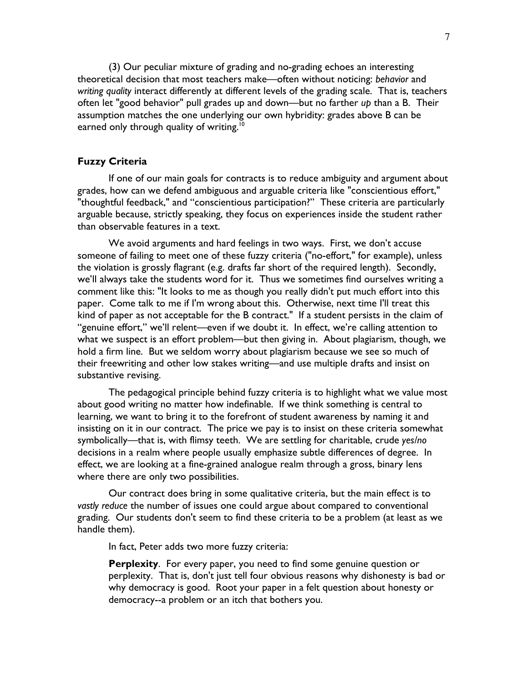(3) Our peculiar mixture of grading and no-grading echoes an interesting theoretical decision that most teachers make—often without noticing: behavior and writing quality interact differently at different levels of the grading scale. That is, teachers often let "good behavior" pull grades up and down—but no farther up than a B. Their assumption matches the one underlying our own hybridity: grades above B can be earned only through quality of writing.<sup>10</sup>

## Fuzzy Criteria

 If one of our main goals for contracts is to reduce ambiguity and argument about grades, how can we defend ambiguous and arguable criteria like "conscientious effort," "thoughtful feedback," and "conscientious participation?" These criteria are particularly arguable because, strictly speaking, they focus on experiences inside the student rather than observable features in a text.

 We avoid arguments and hard feelings in two ways. First, we don't accuse someone of failing to meet one of these fuzzy criteria ("no-effort," for example), unless the violation is grossly flagrant (e.g. drafts far short of the required length). Secondly, we'll always take the students word for it. Thus we sometimes find ourselves writing a comment like this: "It looks to me as though you really didn't put much effort into this paper. Come talk to me if I'm wrong about this. Otherwise, next time I'll treat this kind of paper as not acceptable for the B contract." If a student persists in the claim of "genuine effort," we'll relent—even if we doubt it. In effect, we're calling attention to what we suspect is an effort problem—but then giving in. About plagiarism, though, we hold a firm line. But we seldom worry about plagiarism because we see so much of their freewriting and other low stakes writing—and use multiple drafts and insist on substantive revising.

 The pedagogical principle behind fuzzy criteria is to highlight what we value most about good writing no matter how indefinable. If we think something is central to learning, we want to bring it to the forefront of student awareness by naming it and insisting on it in our contract. The price we pay is to insist on these criteria somewhat symbolically—that is, with flimsy teeth. We are settling for charitable, crude yes/no decisions in a realm where people usually emphasize subtle differences of degree. In effect, we are looking at a fine-grained analogue realm through a gross, binary lens where there are only two possibilities.

 Our contract does bring in some qualitative criteria, but the main effect is to vastly reduce the number of issues one could argue about compared to conventional grading. Our students don't seem to find these criteria to be a problem (at least as we handle them).

In fact, Peter adds two more fuzzy criteria:

**Perplexity.** For every paper, you need to find some genuine question or perplexity. That is, don't just tell four obvious reasons why dishonesty is bad or why democracy is good. Root your paper in a felt question about honesty or democracy--a problem or an itch that bothers you.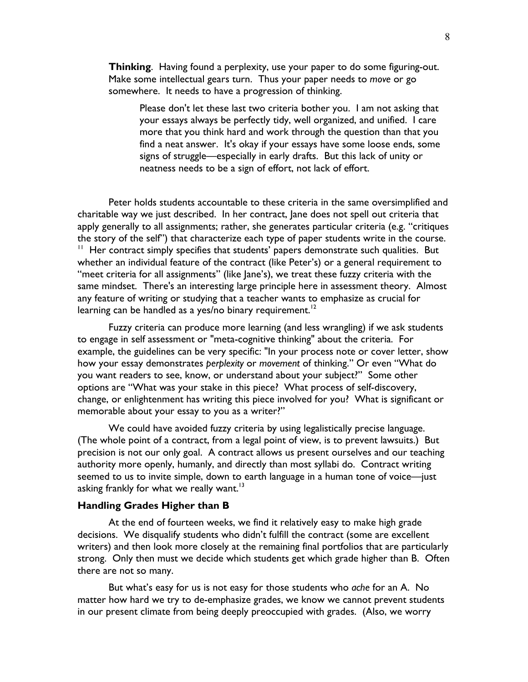Thinking. Having found a perplexity, use your paper to do some figuring-out. Make some intellectual gears turn. Thus your paper needs to move or go somewhere. It needs to have a progression of thinking.

Please don't let these last two criteria bother you. I am not asking that your essays always be perfectly tidy, well organized, and unified. I care more that you think hard and work through the question than that you find a neat answer. It's okay if your essays have some loose ends, some signs of struggle—especially in early drafts. But this lack of unity or neatness needs to be a sign of effort, not lack of effort.

 Peter holds students accountable to these criteria in the same oversimplified and charitable way we just described. In her contract, Jane does not spell out criteria that apply generally to all assignments; rather, she generates particular criteria (e.g. "critiques the story of the self") that characterize each type of paper students write in the course.  $11$  Her contract simply specifies that students' papers demonstrate such qualities. But whether an individual feature of the contract (like Peter's) or a general requirement to "meet criteria for all assignments" (like Jane's), we treat these fuzzy criteria with the same mindset. There's an interesting large principle here in assessment theory. Almost any feature of writing or studying that a teacher wants to emphasize as crucial for learning can be handled as a yes/no binary requirement.<sup>12</sup>

 Fuzzy criteria can produce more learning (and less wrangling) if we ask students to engage in self assessment or "meta-cognitive thinking" about the criteria. For example, the guidelines can be very specific: "In your process note or cover letter, show how your essay demonstrates perplexity or movement of thinking." Or even "What do you want readers to see, know, or understand about your subject?" Some other options are "What was your stake in this piece? What process of self-discovery, change, or enlightenment has writing this piece involved for you? What is significant or memorable about your essay to you as a writer?"

 We could have avoided fuzzy criteria by using legalistically precise language. (The whole point of a contract, from a legal point of view, is to prevent lawsuits.) But precision is not our only goal. A contract allows us present ourselves and our teaching authority more openly, humanly, and directly than most syllabi do. Contract writing seemed to us to invite simple, down to earth language in a human tone of voice—just asking frankly for what we really want. $13$ 

#### Handling Grades Higher than B

 At the end of fourteen weeks, we find it relatively easy to make high grade decisions. We disqualify students who didn't fulfill the contract (some are excellent writers) and then look more closely at the remaining final portfolios that are particularly strong. Only then must we decide which students get which grade higher than B. Often there are not so many.

 But what's easy for us is not easy for those students who ache for an A. No matter how hard we try to de-emphasize grades, we know we cannot prevent students in our present climate from being deeply preoccupied with grades. (Also, we worry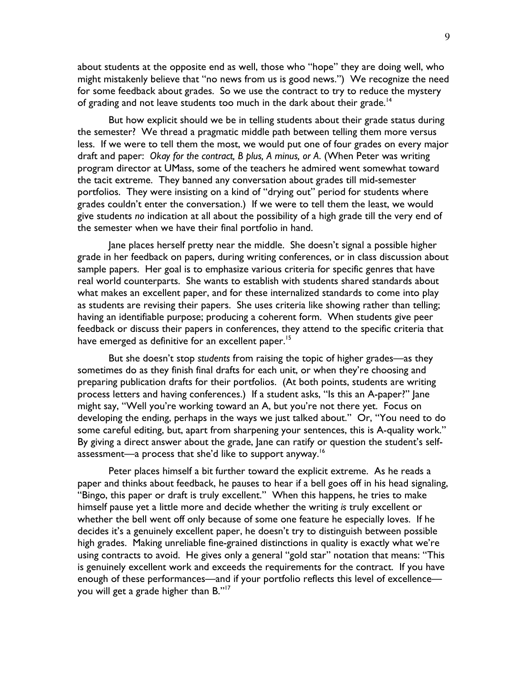about students at the opposite end as well, those who "hope" they are doing well, who might mistakenly believe that "no news from us is good news.") We recognize the need for some feedback about grades. So we use the contract to try to reduce the mystery of grading and not leave students too much in the dark about their grade.<sup>14</sup>

 But how explicit should we be in telling students about their grade status during the semester? We thread a pragmatic middle path between telling them more versus less. If we were to tell them the most, we would put one of four grades on every major draft and paper: Okay for the contract, B plus, A minus, or A. (When Peter was writing program director at UMass, some of the teachers he admired went somewhat toward the tacit extreme. They banned any conversation about grades till mid-semester portfolios. They were insisting on a kind of "drying out" period for students where grades couldn't enter the conversation.) If we were to tell them the least, we would give students no indication at all about the possibility of a high grade till the very end of the semester when we have their final portfolio in hand.

 Jane places herself pretty near the middle. She doesn't signal a possible higher grade in her feedback on papers, during writing conferences, or in class discussion about sample papers. Her goal is to emphasize various criteria for specific genres that have real world counterparts. She wants to establish with students shared standards about what makes an excellent paper, and for these internalized standards to come into play as students are revising their papers. She uses criteria like showing rather than telling; having an identifiable purpose; producing a coherent form. When students give peer feedback or discuss their papers in conferences, they attend to the specific criteria that have emerged as definitive for an excellent paper.<sup>15</sup>

 But she doesn't stop students from raising the topic of higher grades—as they sometimes do as they finish final drafts for each unit, or when they're choosing and preparing publication drafts for their portfolios. (At both points, students are writing process letters and having conferences.) If a student asks, "Is this an A-paper?" Jane might say, "Well you're working toward an A, but you're not there yet. Focus on developing the ending, perhaps in the ways we just talked about." Or, "You need to do some careful editing, but, apart from sharpening your sentences, this is A-quality work." By giving a direct answer about the grade, Jane can ratify or question the student's selfassessment—a process that she'd like to support anyway.<sup>16</sup>

 Peter places himself a bit further toward the explicit extreme. As he reads a paper and thinks about feedback, he pauses to hear if a bell goes off in his head signaling, "Bingo, this paper or draft is truly excellent." When this happens, he tries to make himself pause yet a little more and decide whether the writing is truly excellent or whether the bell went off only because of some one feature he especially loves. If he decides it's a genuinely excellent paper, he doesn't try to distinguish between possible high grades. Making unreliable fine-grained distinctions in quality is exactly what we're using contracts to avoid. He gives only a general "gold star" notation that means: "This is genuinely excellent work and exceeds the requirements for the contract. If you have enough of these performances—and if your portfolio reflects this level of excellence you will get a grade higher than B." $^{17}$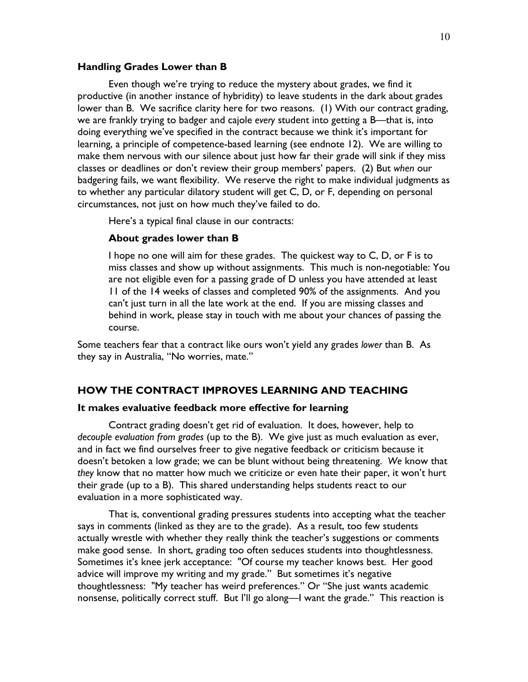## Handling Grades Lower than B

 Even though we're trying to reduce the mystery about grades, we find it productive (in another instance of hybridity) to leave students in the dark about grades lower than B. We sacrifice clarity here for two reasons. (1) With our contract grading, we are frankly trying to badger and cajole every student into getting a B—that is, into doing everything we've specified in the contract because we think it's important for learning, a principle of competence-based learning (see endnote 12). We are willing to make them nervous with our silence about just how far their grade will sink if they miss classes or deadlines or don't review their group members' papers. (2) But when our badgering fails, we want flexibility. We reserve the right to make individual judgments as to whether any particular dilatory student will get C, D, or F, depending on personal circumstances, not just on how much they've failed to do.

Here's a typical final clause in our contracts:

#### About grades lower than B

I hope no one will aim for these grades. The quickest way to C, D, or F is to miss classes and show up without assignments. This much is non-negotiable: You are not eligible even for a passing grade of D unless you have attended at least 11 of the 14 weeks of classes and completed 90% of the assignments. And you can't just turn in all the late work at the end. If you are missing classes and behind in work, please stay in touch with me about your chances of passing the course.

Some teachers fear that a contract like ours won't yield any grades lower than B. As they say in Australia, "No worries, mate."

## HOW THE CONTRACT IMPROVES LEARNING AND TEACHING

## It makes evaluative feedback more effective for learning

 Contract grading doesn't get rid of evaluation. It does, however, help to decouple evaluation from grades (up to the B). We give just as much evaluation as ever, and in fact we find ourselves freer to give negative feedback or criticism because it doesn't betoken a low grade; we can be blunt without being threatening. We know that they know that no matter how much we criticize or even hate their paper, it won't hurt their grade (up to a B). This shared understanding helps students react to our evaluation in a more sophisticated way.

 That is, conventional grading pressures students into accepting what the teacher says in comments (linked as they are to the grade). As a result, too few students actually wrestle with whether they really think the teacher's suggestions or comments make good sense. In short, grading too often seduces students into thoughtlessness. Sometimes it's knee jerk acceptance: "Of course my teacher knows best. Her good advice will improve my writing and my grade." But sometimes it's negative thoughtlessness: "My teacher has weird preferences." Or "She just wants academic nonsense, politically correct stuff. But I'll go along—I want the grade." This reaction is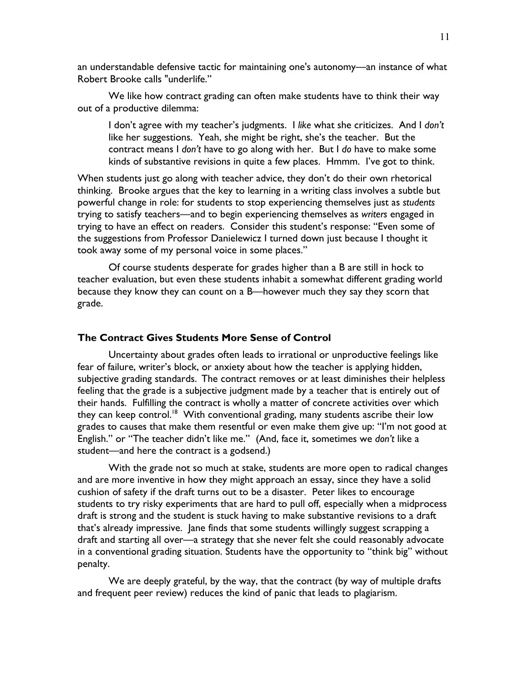an understandable defensive tactic for maintaining one's autonomy—an instance of what Robert Brooke calls "underlife."

 We like how contract grading can often make students have to think their way out of a productive dilemma:

I don't agree with my teacher's judgments. I like what she criticizes. And I don't like her suggestions. Yeah, she might be right, she's the teacher. But the contract means I don't have to go along with her. But I do have to make some kinds of substantive revisions in quite a few places. Hmmm. I've got to think.

When students just go along with teacher advice, they don't do their own rhetorical thinking. Brooke argues that the key to learning in a writing class involves a subtle but powerful change in role: for students to stop experiencing themselves just as students trying to satisfy teachers—and to begin experiencing themselves as writers engaged in trying to have an effect on readers. Consider this student's response: "Even some of the suggestions from Professor Danielewicz I turned down just because I thought it took away some of my personal voice in some places."

 Of course students desperate for grades higher than a B are still in hock to teacher evaluation, but even these students inhabit a somewhat different grading world because they know they can count on a B—however much they say they scorn that grade.

## The Contract Gives Students More Sense of Control

 Uncertainty about grades often leads to irrational or unproductive feelings like fear of failure, writer's block, or anxiety about how the teacher is applying hidden, subjective grading standards. The contract removes or at least diminishes their helpless feeling that the grade is a subjective judgment made by a teacher that is entirely out of their hands. Fulfilling the contract is wholly a matter of concrete activities over which they can keep control.<sup>18</sup> With conventional grading, many students ascribe their low grades to causes that make them resentful or even make them give up: "I'm not good at English." or "The teacher didn't like me." (And, face it, sometimes we don't like a student—and here the contract is a godsend.)

 With the grade not so much at stake, students are more open to radical changes and are more inventive in how they might approach an essay, since they have a solid cushion of safety if the draft turns out to be a disaster. Peter likes to encourage students to try risky experiments that are hard to pull off, especially when a midprocess draft is strong and the student is stuck having to make substantive revisions to a draft that's already impressive. Jane finds that some students willingly suggest scrapping a draft and starting all over—a strategy that she never felt she could reasonably advocate in a conventional grading situation. Students have the opportunity to "think big" without penalty.

 We are deeply grateful, by the way, that the contract (by way of multiple drafts and frequent peer review) reduces the kind of panic that leads to plagiarism.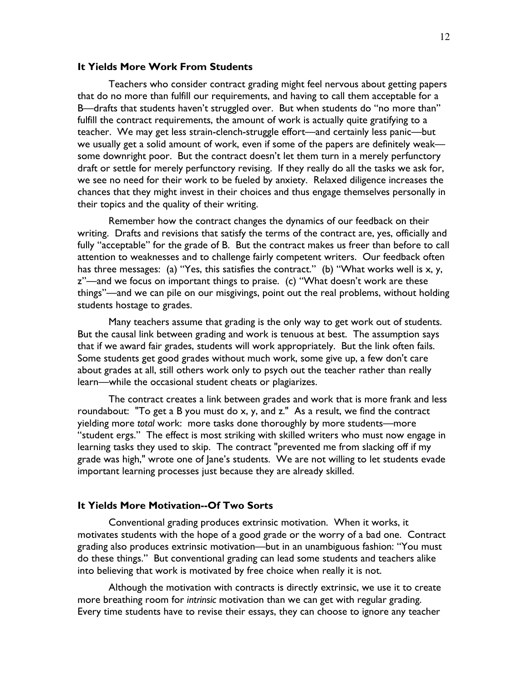#### It Yields More Work From Students

 Teachers who consider contract grading might feel nervous about getting papers that do no more than fulfill our requirements, and having to call them acceptable for a B—drafts that students haven't struggled over. But when students do "no more than" fulfill the contract requirements, the amount of work is actually quite gratifying to a teacher. We may get less strain-clench-struggle effort—and certainly less panic—but we usually get a solid amount of work, even if some of the papers are definitely weak some downright poor. But the contract doesn't let them turn in a merely perfunctory draft or settle for merely perfunctory revising. If they really do all the tasks we ask for, we see no need for their work to be fueled by anxiety. Relaxed diligence increases the chances that they might invest in their choices and thus engage themselves personally in their topics and the quality of their writing.

 Remember how the contract changes the dynamics of our feedback on their writing. Drafts and revisions that satisfy the terms of the contract are, yes, officially and fully "acceptable" for the grade of B. But the contract makes us freer than before to call attention to weaknesses and to challenge fairly competent writers. Our feedback often has three messages: (a) "Yes, this satisfies the contract." (b) "What works well is x, y, z"—and we focus on important things to praise. (c) "What doesn't work are these things"—and we can pile on our misgivings, point out the real problems, without holding students hostage to grades.

 Many teachers assume that grading is the only way to get work out of students. But the causal link between grading and work is tenuous at best. The assumption says that if we award fair grades, students will work appropriately. But the link often fails. Some students get good grades without much work, some give up, a few don't care about grades at all, still others work only to psych out the teacher rather than really learn—while the occasional student cheats or plagiarizes.

 The contract creates a link between grades and work that is more frank and less roundabout: "To get a B you must do x, y, and z." As a result, we find the contract yielding more total work: more tasks done thoroughly by more students—more "student ergs." The effect is most striking with skilled writers who must now engage in learning tasks they used to skip. The contract "prevented me from slacking off if my grade was high," wrote one of Jane's students. We are not willing to let students evade important learning processes just because they are already skilled.

## It Yields More Motivation--Of Two Sorts

 Conventional grading produces extrinsic motivation. When it works, it motivates students with the hope of a good grade or the worry of a bad one. Contract grading also produces extrinsic motivation—but in an unambiguous fashion: "You must do these things." But conventional grading can lead some students and teachers alike into believing that work is motivated by free choice when really it is not.

 Although the motivation with contracts is directly extrinsic, we use it to create more breathing room for intrinsic motivation than we can get with regular grading. Every time students have to revise their essays, they can choose to ignore any teacher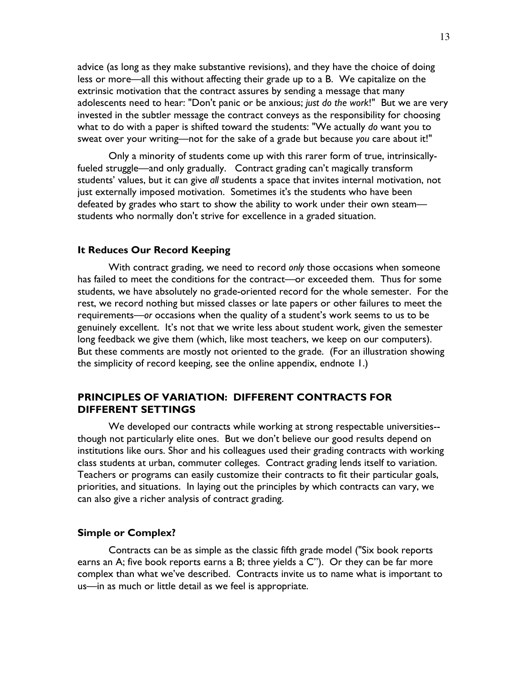advice (as long as they make substantive revisions), and they have the choice of doing less or more—all this without affecting their grade up to a B. We capitalize on the extrinsic motivation that the contract assures by sending a message that many adolescents need to hear: "Don't panic or be anxious; just do the work!" But we are very invested in the subtler message the contract conveys as the responsibility for choosing what to do with a paper is shifted toward the students: "We actually do want you to sweat over your writing—not for the sake of a grade but because you care about it!"

 Only a minority of students come up with this rarer form of true, intrinsicallyfueled struggle—and only gradually. Contract grading can't magically transform students' values, but it can give all students a space that invites internal motivation, not just externally imposed motivation. Sometimes it's the students who have been defeated by grades who start to show the ability to work under their own steam students who normally don't strive for excellence in a graded situation.

## It Reduces Our Record Keeping

 With contract grading, we need to record only those occasions when someone has failed to meet the conditions for the contract—or exceeded them. Thus for some students, we have absolutely no grade-oriented record for the whole semester. For the rest, we record nothing but missed classes or late papers or other failures to meet the requirements—or occasions when the quality of a student's work seems to us to be genuinely excellent. It's not that we write less about student work, given the semester long feedback we give them (which, like most teachers, we keep on our computers). But these comments are mostly not oriented to the grade. (For an illustration showing the simplicity of record keeping, see the online appendix, endnote 1.)

## PRINCIPLES OF VARIATION: DIFFERENT CONTRACTS FOR DIFFERENT SETTINGS

 We developed our contracts while working at strong respectable universities- though not particularly elite ones. But we don't believe our good results depend on institutions like ours. Shor and his colleagues used their grading contracts with working class students at urban, commuter colleges. Contract grading lends itself to variation. Teachers or programs can easily customize their contracts to fit their particular goals, priorities, and situations. In laying out the principles by which contracts can vary, we can also give a richer analysis of contract grading.

## Simple or Complex?

 Contracts can be as simple as the classic fifth grade model ("Six book reports earns an A; five book reports earns a B; three yields a C"). Or they can be far more complex than what we've described. Contracts invite us to name what is important to us—in as much or little detail as we feel is appropriate.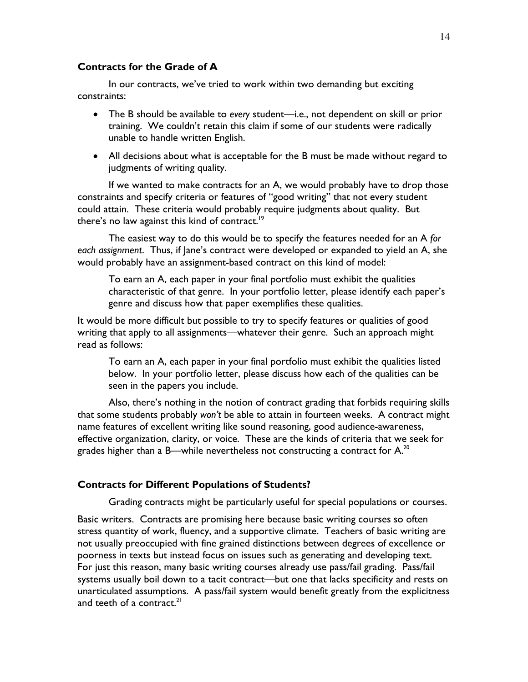## Contracts for the Grade of A

 In our contracts, we've tried to work within two demanding but exciting constraints:

- The B should be available to every student—i.e., not dependent on skill or prior training. We couldn't retain this claim if some of our students were radically unable to handle written English.
- All decisions about what is acceptable for the B must be made without regard to judgments of writing quality.

 If we wanted to make contracts for an A, we would probably have to drop those constraints and specify criteria or features of "good writing" that not every student could attain. These criteria would probably require judgments about quality. But there's no law against this kind of contract.<sup>19</sup>

The easiest way to do this would be to specify the features needed for an A for each assignment. Thus, if Jane's contract were developed or expanded to yield an A, she would probably have an assignment-based contract on this kind of model:

To earn an A, each paper in your final portfolio must exhibit the qualities characteristic of that genre. In your portfolio letter, please identify each paper's genre and discuss how that paper exemplifies these qualities.

It would be more difficult but possible to try to specify features or qualities of good writing that apply to all assignments—whatever their genre. Such an approach might read as follows:

To earn an A, each paper in your final portfolio must exhibit the qualities listed below. In your portfolio letter, please discuss how each of the qualities can be seen in the papers you include.

 Also, there's nothing in the notion of contract grading that forbids requiring skills that some students probably won't be able to attain in fourteen weeks. A contract might name features of excellent writing like sound reasoning, good audience-awareness, effective organization, clarity, or voice. These are the kinds of criteria that we seek for grades higher than a B—while nevertheless not constructing a contract for  $A^{20}$ .

## Contracts for Different Populations of Students?

Grading contracts might be particularly useful for special populations or courses.

Basic writers. Contracts are promising here because basic writing courses so often stress quantity of work, fluency, and a supportive climate. Teachers of basic writing are not usually preoccupied with fine grained distinctions between degrees of excellence or poorness in texts but instead focus on issues such as generating and developing text. For just this reason, many basic writing courses already use pass/fail grading. Pass/fail systems usually boil down to a tacit contract—but one that lacks specificity and rests on unarticulated assumptions. A pass/fail system would benefit greatly from the explicitness and teeth of a contract. $^{21}$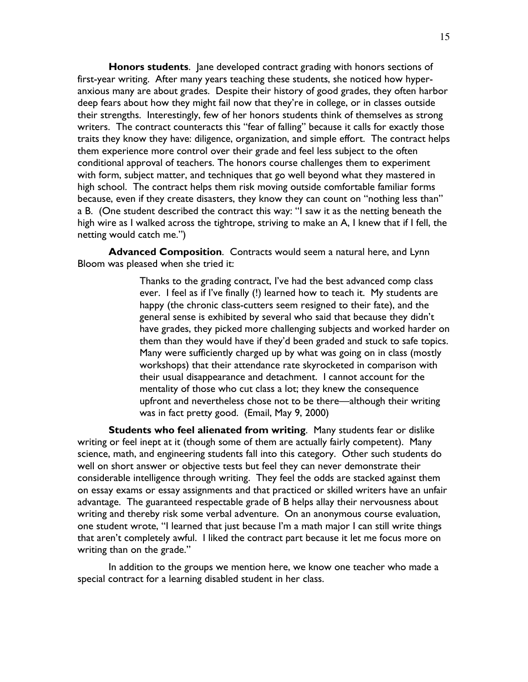Honors students. Jane developed contract grading with honors sections of first-year writing. After many years teaching these students, she noticed how hyperanxious many are about grades. Despite their history of good grades, they often harbor deep fears about how they might fail now that they're in college, or in classes outside their strengths. Interestingly, few of her honors students think of themselves as strong writers. The contract counteracts this "fear of falling" because it calls for exactly those traits they know they have: diligence, organization, and simple effort. The contract helps them experience more control over their grade and feel less subject to the often conditional approval of teachers. The honors course challenges them to experiment with form, subject matter, and techniques that go well beyond what they mastered in high school. The contract helps them risk moving outside comfortable familiar forms because, even if they create disasters, they know they can count on "nothing less than" a B. (One student described the contract this way: "I saw it as the netting beneath the high wire as I walked across the tightrope, striving to make an A, I knew that if I fell, the netting would catch me.")

Advanced Composition. Contracts would seem a natural here, and Lynn Bloom was pleased when she tried it:

> Thanks to the grading contract, I've had the best advanced comp class ever. I feel as if I've finally (!) learned how to teach it. My students are happy (the chronic class-cutters seem resigned to their fate), and the general sense is exhibited by several who said that because they didn't have grades, they picked more challenging subjects and worked harder on them than they would have if they'd been graded and stuck to safe topics. Many were sufficiently charged up by what was going on in class (mostly workshops) that their attendance rate skyrocketed in comparison with their usual disappearance and detachment. I cannot account for the mentality of those who cut class a lot; they knew the consequence upfront and nevertheless chose not to be there—although their writing was in fact pretty good. (Email, May 9, 2000)

 Students who feel alienated from writing. Many students fear or dislike writing or feel inept at it (though some of them are actually fairly competent). Many science, math, and engineering students fall into this category. Other such students do well on short answer or objective tests but feel they can never demonstrate their considerable intelligence through writing. They feel the odds are stacked against them on essay exams or essay assignments and that practiced or skilled writers have an unfair advantage. The guaranteed respectable grade of B helps allay their nervousness about writing and thereby risk some verbal adventure. On an anonymous course evaluation, one student wrote, "I learned that just because I'm a math major I can still write things that aren't completely awful. I liked the contract part because it let me focus more on writing than on the grade."

 In addition to the groups we mention here, we know one teacher who made a special contract for a learning disabled student in her class.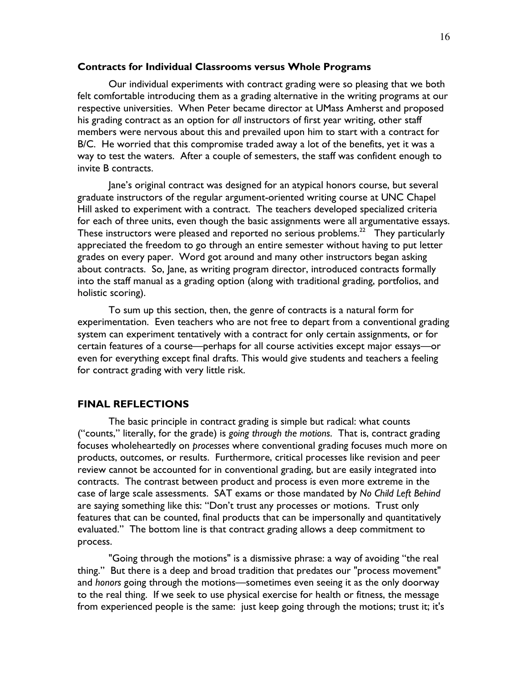## Contracts for Individual Classrooms versus Whole Programs

 Our individual experiments with contract grading were so pleasing that we both felt comfortable introducing them as a grading alternative in the writing programs at our respective universities. When Peter became director at UMass Amherst and proposed his grading contract as an option for all instructors of first year writing, other staff members were nervous about this and prevailed upon him to start with a contract for B/C. He worried that this compromise traded away a lot of the benefits, yet it was a way to test the waters. After a couple of semesters, the staff was confident enough to invite B contracts.

 Jane's original contract was designed for an atypical honors course, but several graduate instructors of the regular argument-oriented writing course at UNC Chapel Hill asked to experiment with a contract. The teachers developed specialized criteria for each of three units, even though the basic assignments were all argumentative essays. These instructors were pleased and reported no serious problems.<sup>22</sup> They particularly appreciated the freedom to go through an entire semester without having to put letter grades on every paper. Word got around and many other instructors began asking about contracts. So, Jane, as writing program director, introduced contracts formally into the staff manual as a grading option (along with traditional grading, portfolios, and holistic scoring).

 To sum up this section, then, the genre of contracts is a natural form for experimentation. Even teachers who are not free to depart from a conventional grading system can experiment tentatively with a contract for only certain assignments, or for certain features of a course—perhaps for all course activities except major essays—or even for everything except final drafts. This would give students and teachers a feeling for contract grading with very little risk.

## FINAL REFLECTIONS

 The basic principle in contract grading is simple but radical: what counts ("counts," literally, for the grade) is going through the motions. That is, contract grading focuses wholeheartedly on processes where conventional grading focuses much more on products, outcomes, or results. Furthermore, critical processes like revision and peer review cannot be accounted for in conventional grading, but are easily integrated into contracts. The contrast between product and process is even more extreme in the case of large scale assessments. SAT exams or those mandated by No Child Left Behind are saying something like this: "Don't trust any processes or motions. Trust only features that can be counted, final products that can be impersonally and quantitatively evaluated." The bottom line is that contract grading allows a deep commitment to process.

 "Going through the motions" is a dismissive phrase: a way of avoiding "the real thing." But there is a deep and broad tradition that predates our "process movement" and honors going through the motions—sometimes even seeing it as the only doorway to the real thing. If we seek to use physical exercise for health or fitness, the message from experienced people is the same: just keep going through the motions; trust it; it's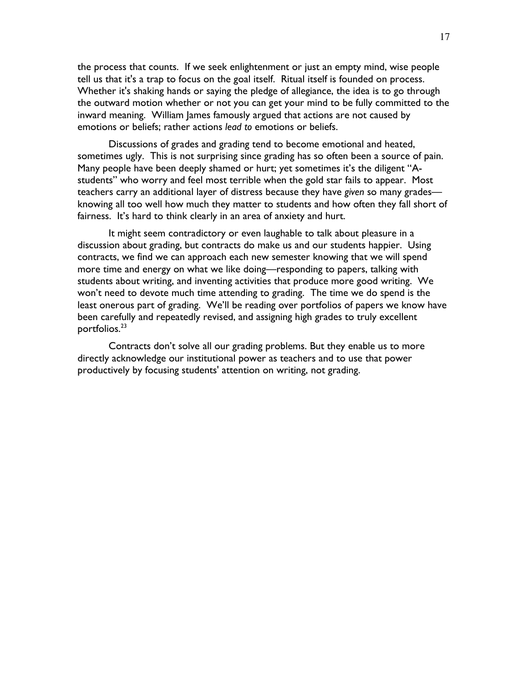the process that counts. If we seek enlightenment or just an empty mind, wise people tell us that it's a trap to focus on the goal itself. Ritual itself is founded on process. Whether it's shaking hands or saying the pledge of allegiance, the idea is to go through the outward motion whether or not you can get your mind to be fully committed to the inward meaning. William James famously argued that actions are not caused by emotions or beliefs; rather actions lead to emotions or beliefs.

 Discussions of grades and grading tend to become emotional and heated, sometimes ugly. This is not surprising since grading has so often been a source of pain. Many people have been deeply shamed or hurt; yet sometimes it's the diligent "Astudents" who worry and feel most terrible when the gold star fails to appear. Most teachers carry an additional layer of distress because they have given so many grades knowing all too well how much they matter to students and how often they fall short of fairness. It's hard to think clearly in an area of anxiety and hurt.

 It might seem contradictory or even laughable to talk about pleasure in a discussion about grading, but contracts do make us and our students happier. Using contracts, we find we can approach each new semester knowing that we will spend more time and energy on what we like doing—responding to papers, talking with students about writing, and inventing activities that produce more good writing. We won't need to devote much time attending to grading. The time we do spend is the least onerous part of grading. We'll be reading over portfolios of papers we know have been carefully and repeatedly revised, and assigning high grades to truly excellent portfolios.<sup>23</sup>

 Contracts don't solve all our grading problems. But they enable us to more directly acknowledge our institutional power as teachers and to use that power productively by focusing students' attention on writing, not grading.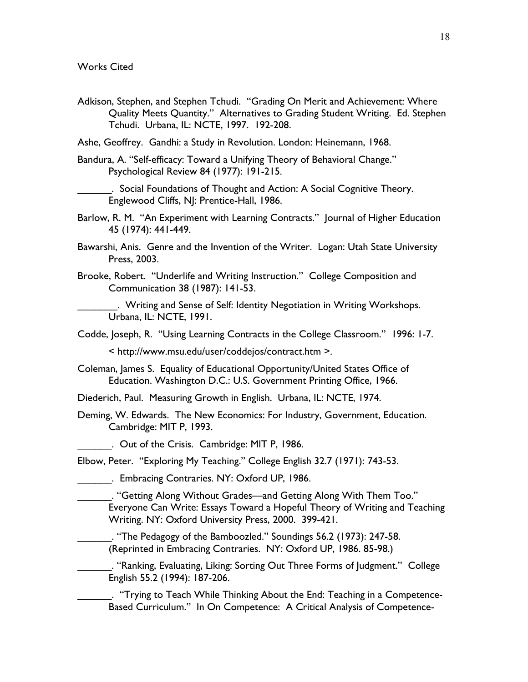Adkison, Stephen, and Stephen Tchudi. "Grading On Merit and Achievement: Where Quality Meets Quantity." Alternatives to Grading Student Writing. Ed. Stephen Tchudi. Urbana, IL: NCTE, 1997. 192-208.

Ashe, Geoffrey. Gandhi: a Study in Revolution. London: Heinemann, 1968.

Bandura, A. "Self-efficacy: Toward a Unifying Theory of Behavioral Change." Psychological Review 84 (1977): 191-215.

. Social Foundations of Thought and Action: A Social Cognitive Theory. Englewood Cliffs, NJ: Prentice-Hall, 1986.

- Barlow, R. M. "An Experiment with Learning Contracts." Journal of Higher Education 45 (1974): 441-449.
- Bawarshi, Anis. Genre and the Invention of the Writer. Logan: Utah State University Press, 2003.
- Brooke, Robert. "Underlife and Writing Instruction." College Composition and Communication 38 (1987): 141-53.

\_\_\_\_\_\_\_. Writing and Sense of Self: Identity Negotiation in Writing Workshops. Urbana, IL: NCTE, 1991.

Codde, Joseph, R. "Using Learning Contracts in the College Classroom." 1996: 1-7.

< http://www.msu.edu/user/coddejos/contract.htm >.

Coleman, James S. Equality of Educational Opportunity/United States Office of Education. Washington D.C.: U.S. Government Printing Office, 1966.

Diederich, Paul. Measuring Growth in English. Urbana, IL: NCTE, 1974.

Deming, W. Edwards. The New Economics: For Industry, Government, Education. Cambridge: MIT P, 1993.

. Out of the Crisis. Cambridge: MIT P, 1986.

Elbow, Peter. "Exploring My Teaching." College English 32.7 (1971): 743-53.

\_\_\_\_\_\_. Embracing Contraries. NY: Oxford UP, 1986.

\_\_\_\_\_\_. "Getting Along Without Grades—and Getting Along With Them Too." Everyone Can Write: Essays Toward a Hopeful Theory of Writing and Teaching Writing. NY: Oxford University Press, 2000. 399-421.

\_\_\_\_\_\_. "The Pedagogy of the Bamboozled." Soundings 56.2 (1973): 247-58. (Reprinted in Embracing Contraries. NY: Oxford UP, 1986. 85-98.)

\_\_\_\_\_\_. "Ranking, Evaluating, Liking: Sorting Out Three Forms of Judgment." College English 55.2 (1994): 187-206.

\_\_\_\_\_\_. "Trying to Teach While Thinking About the End: Teaching in a Competence-Based Curriculum." In On Competence: A Critical Analysis of Competence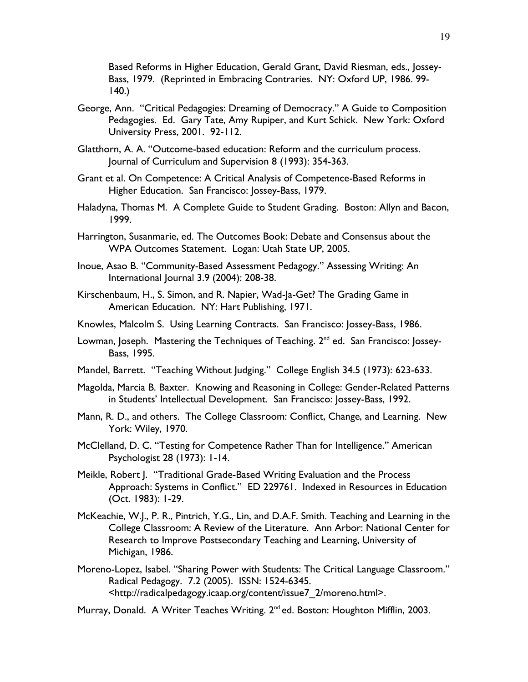Based Reforms in Higher Education, Gerald Grant, David Riesman, eds., Jossey-Bass, 1979. (Reprinted in Embracing Contraries. NY: Oxford UP, 1986. 99-  $140.$ 

- George, Ann. "Critical Pedagogies: Dreaming of Democracy." A Guide to Composition Pedagogies. Ed. Gary Tate, Amy Rupiper, and Kurt Schick. New York: Oxford University Press, 2001. 92-112.
- Glatthorn, A. A. "Outcome-based education: Reform and the curriculum process. Journal of Curriculum and Supervision 8 (1993): 354-363.
- Grant et al. On Competence: A Critical Analysis of Competence-Based Reforms in Higher Education. San Francisco: Jossey-Bass, 1979.
- Haladyna, Thomas M. A Complete Guide to Student Grading. Boston: Allyn and Bacon, 1999.
- Harrington, Susanmarie, ed. The Outcomes Book: Debate and Consensus about the WPA Outcomes Statement. Logan: Utah State UP, 2005.
- Inoue, Asao B. "Community-Based Assessment Pedagogy." Assessing Writing: An International Journal 3.9 (2004): 208-38.
- Kirschenbaum, H., S. Simon, and R. Napier, Wad-Ja-Get? The Grading Game in American Education. NY: Hart Publishing, 1971.
- Knowles, Malcolm S. Using Learning Contracts. San Francisco: Jossey-Bass, 1986.
- Lowman, Joseph. Mastering the Techniques of Teaching. 2<sup>nd</sup> ed. San Francisco: Jossey-Bass, 1995.
- Mandel, Barrett. "Teaching Without Judging." College English 34.5 (1973): 623-633.
- Magolda, Marcia B. Baxter. Knowing and Reasoning in College: Gender-Related Patterns in Students' Intellectual Development. San Francisco: Jossey-Bass, 1992.
- Mann, R. D., and others. The College Classroom: Conflict, Change, and Learning. New York: Wiley, 1970.
- McClelland, D. C. "Testing for Competence Rather Than for Intelligence." American Psychologist 28 (1973): 1-14.
- Meikle, Robert J. "Traditional Grade-Based Writing Evaluation and the Process Approach: Systems in Conflict." ED 229761. Indexed in Resources in Education (Oct. 1983): 1-29.
- McKeachie, W.J., P. R., Pintrich, Y.G., Lin, and D.A.F. Smith. Teaching and Learning in the College Classroom: A Review of the Literature. Ann Arbor: National Center for Research to Improve Postsecondary Teaching and Learning, University of Michigan, 1986.
- Moreno-Lopez, Isabel. "Sharing Power with Students: The Critical Language Classroom." Radical Pedagogy. 7.2 (2005). ISSN: 1524-6345. <http://radicalpedagogy.icaap.org/content/issue7\_2/moreno.html>.
- Murray, Donald. A Writer Teaches Writing. 2<sup>nd</sup> ed. Boston: Houghton Mifflin, 2003.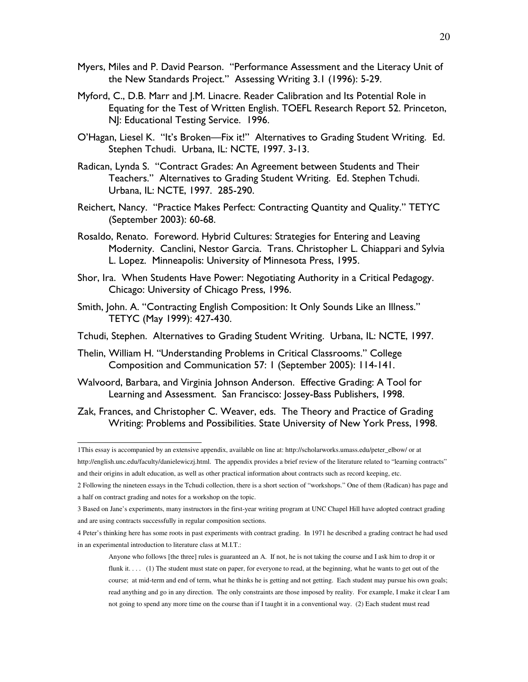- Myers, Miles and P. David Pearson. "Performance Assessment and the Literacy Unit of the New Standards Project." Assessing Writing 3.1 (1996): 5-29.
- Myford, C., D.B. Marr and J.M. Linacre. Reader Calibration and Its Potential Role in Equating for the Test of Written English. TOEFL Research Report 52. Princeton, NJ: Educational Testing Service. 1996.
- O'Hagan, Liesel K. "It's Broken—Fix it!" Alternatives to Grading Student Writing. Ed. Stephen Tchudi. Urbana, IL: NCTE, 1997. 3-13.
- Radican, Lynda S. "Contract Grades: An Agreement between Students and Their Teachers." Alternatives to Grading Student Writing. Ed. Stephen Tchudi. Urbana, IL: NCTE, 1997. 285-290.
- Reichert, Nancy. "Practice Makes Perfect: Contracting Quantity and Quality." TETYC (September 2003): 60-68.
- Rosaldo, Renato. Foreword. Hybrid Cultures: Strategies for Entering and Leaving Modernity. Canclini, Nestor Garcia. Trans. Christopher L. Chiappari and Sylvia L. Lopez. Minneapolis: University of Minnesota Press, 1995.
- Shor, Ira. When Students Have Power: Negotiating Authority in a Critical Pedagogy. Chicago: University of Chicago Press, 1996.
- Smith, John. A. "Contracting English Composition: It Only Sounds Like an Illness." TETYC (May 1999): 427-430.
- Tchudi, Stephen. Alternatives to Grading Student Writing. Urbana, IL: NCTE, 1997.
- Thelin, William H. "Understanding Problems in Critical Classrooms." College Composition and Communication 57: 1 (September 2005): 114-141.
- Walvoord, Barbara, and Virginia Johnson Anderson. Effective Grading: A Tool for Learning and Assessment. San Francisco: Jossey-Bass Publishers, 1998.
- Zak, Frances, and Christopher C. Weaver, eds. The Theory and Practice of Grading Writing: Problems and Possibilities. State University of New York Press, 1998.

 1This essay is accompanied by an extensive appendix, available on line at: http://scholarworks.umass.edu/peter\_elbow/ or at http://english.unc.edu/faculty/danielewiczj.html. The appendix provides a brief review of the literature related to "learning contracts"

and their origins in adult education, as well as other practical information about contracts such as record keeping, etc.

<sup>2</sup> Following the nineteen essays in the Tchudi collection, there is a short section of "workshops." One of them (Radican) has page and a half on contract grading and notes for a workshop on the topic.

<sup>3</sup> Based on Jane's experiments, many instructors in the first-year writing program at UNC Chapel Hill have adopted contract grading and are using contracts successfully in regular composition sections.

<sup>4</sup> Peter's thinking here has some roots in past experiments with contract grading. In 1971 he described a grading contract he had used in an experimental introduction to literature class at M.I.T.:

Anyone who follows [the three] rules is guaranteed an A. If not, he is not taking the course and I ask him to drop it or flunk it.... (1) The student must state on paper, for everyone to read, at the beginning, what he wants to get out of the course; at mid-term and end of term, what he thinks he is getting and not getting. Each student may pursue his own goals; read anything and go in any direction. The only constraints are those imposed by reality. For example, I make it clear I am not going to spend any more time on the course than if I taught it in a conventional way. (2) Each student must read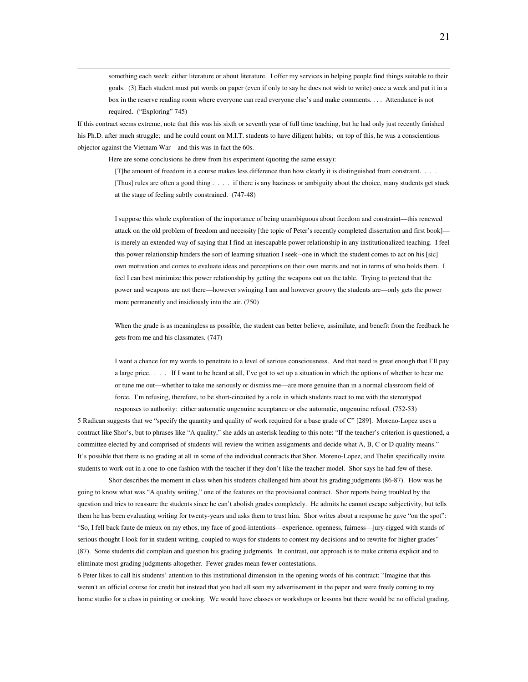something each week: either literature or about literature. I offer my services in helping people find things suitable to their goals. (3) Each student must put words on paper (even if only to say he does not wish to write) once a week and put it in a box in the reserve reading room where everyone can read everyone else's and make comments. . . . Attendance is not required. ("Exploring" 745)

If this contract seems extreme, note that this was his sixth or seventh year of full time teaching, but he had only just recently finished his Ph.D. after much struggle; and he could count on M.I.T. students to have diligent habits; on top of this, he was a conscientious objector against the Vietnam War—and this was in fact the 60s.

Here are some conclusions he drew from his experiment (quoting the same essay):

 $\overline{a}$ 

[T]he amount of freedom in a course makes less difference than how clearly it is distinguished from constraint. . . . [Thus] rules are often a good thing . . . . if there is any haziness or ambiguity about the choice, many students get stuck at the stage of feeling subtly constrained. (747-48)

I suppose this whole exploration of the importance of being unambiguous about freedom and constraint—this renewed attack on the old problem of freedom and necessity [the topic of Peter's recently completed dissertation and first book] is merely an extended way of saying that I find an inescapable power relationship in any institutionalized teaching. I feel this power relationship hinders the sort of learning situation I seek--one in which the student comes to act on his [sic] own motivation and comes to evaluate ideas and perceptions on their own merits and not in terms of who holds them. I feel I can best minimize this power relationship by getting the weapons out on the table. Trying to pretend that the power and weapons are not there—however swinging I am and however groovy the students are—only gets the power more permanently and insidiously into the air. (750)

When the grade is as meaningless as possible, the student can better believe, assimilate, and benefit from the feedback he gets from me and his classmates. (747)

I want a chance for my words to penetrate to a level of serious consciousness. And that need is great enough that I'll pay a large price. . . . If I want to be heard at all, I've got to set up a situation in which the options of whether to hear me or tune me out—whether to take me seriously or dismiss me—are more genuine than in a normal classroom field of force. I'm refusing, therefore, to be short-circuited by a role in which students react to me with the stereotyped

responses to authority: either automatic ungenuine acceptance or else automatic, ungenuine refusal. (752-53) 5 Radican suggests that we "specify the quantity and quality of work required for a base grade of C" [289]. Moreno-Lopez uses a contract like Shor's, but to phrases like "A quality," she adds an asterisk leading to this note: "If the teacher's criterion is questioned, a committee elected by and comprised of students will review the written assignments and decide what A, B, C or D quality means." It's possible that there is no grading at all in some of the individual contracts that Shor, Moreno-Lopez, and Thelin specifically invite students to work out in a one-to-one fashion with the teacher if they don't like the teacher model. Shor says he had few of these.

 Shor describes the moment in class when his students challenged him about his grading judgments (86-87). How was he going to know what was "A quality writing," one of the features on the provisional contract. Shor reports being troubled by the question and tries to reassure the students since he can't abolish grades completely. He admits he cannot escape subjectivity, but tells them he has been evaluating writing for twenty-years and asks them to trust him. Shor writes about a response he gave "on the spot": "So, I fell back faute de mieux on my ethos, my face of good-intentions—experience, openness, fairness—jury-rigged with stands of serious thought I look for in student writing, coupled to ways for students to contest my decisions and to rewrite for higher grades" (87). Some students did complain and question his grading judgments. In contrast, our approach is to make criteria explicit and to eliminate most grading judgments altogether. Fewer grades mean fewer contestations.

6 Peter likes to call his students' attention to this institutional dimension in the opening words of his contract: "Imagine that this weren't an official course for credit but instead that you had all seen my advertisement in the paper and were freely coming to my home studio for a class in painting or cooking. We would have classes or workshops or lessons but there would be no official grading.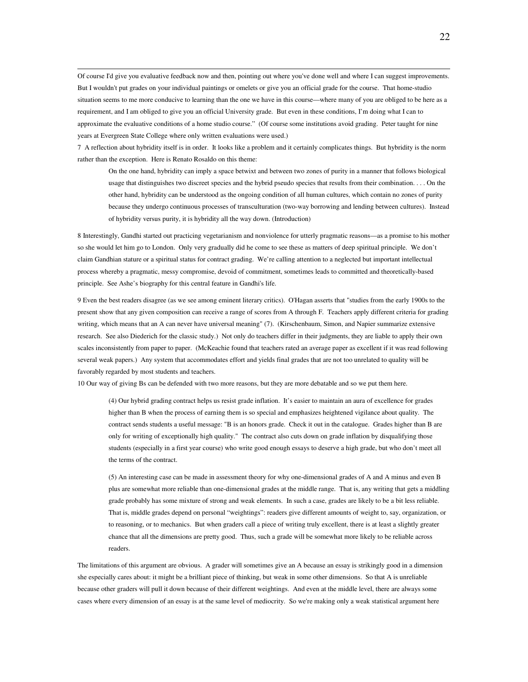Of course I'd give you evaluative feedback now and then, pointing out where you've done well and where I can suggest improvements. But I wouldn't put grades on your individual paintings or omelets or give you an official grade for the course. That home-studio situation seems to me more conducive to learning than the one we have in this course—where many of you are obliged to be here as a requirement, and I am obliged to give you an official University grade. But even in these conditions, I'm doing what I can to approximate the evaluative conditions of a home studio course." (Of course some institutions avoid grading. Peter taught for nine years at Evergreen State College where only written evaluations were used.)

7 A reflection about hybridity itself is in order. It looks like a problem and it certainly complicates things. But hybridity is the norm rather than the exception. Here is Renato Rosaldo on this theme:

On the one hand, hybridity can imply a space betwixt and between two zones of purity in a manner that follows biological usage that distinguishes two discreet species and the hybrid pseudo species that results from their combination. . . . On the other hand, hybridity can be understood as the ongoing condition of all human cultures, which contain no zones of purity because they undergo continuous processes of transculturation (two-way borrowing and lending between cultures). Instead of hybridity versus purity, it is hybridity all the way down. (Introduction)

8 Interestingly, Gandhi started out practicing vegetarianism and nonviolence for utterly pragmatic reasons—as a promise to his mother so she would let him go to London. Only very gradually did he come to see these as matters of deep spiritual principle. We don't claim Gandhian stature or a spiritual status for contract grading. We're calling attention to a neglected but important intellectual process whereby a pragmatic, messy compromise, devoid of commitment, sometimes leads to committed and theoretically-based principle. See Ashe's biography for this central feature in Gandhi's life.

9 Even the best readers disagree (as we see among eminent literary critics). O'Hagan asserts that "studies from the early 1900s to the present show that any given composition can receive a range of scores from A through F. Teachers apply different criteria for grading writing, which means that an A can never have universal meaning" (7). (Kirschenbaum, Simon, and Napier summarize extensive research. See also Diederich for the classic study.) Not only do teachers differ in their judgments, they are liable to apply their own scales inconsistently from paper to paper. (McKeachie found that teachers rated an average paper as excellent if it was read following several weak papers.) Any system that accommodates effort and yields final grades that are not too unrelated to quality will be favorably regarded by most students and teachers.

10 Our way of giving Bs can be defended with two more reasons, but they are more debatable and so we put them here.

(4) Our hybrid grading contract helps us resist grade inflation. It's easier to maintain an aura of excellence for grades higher than B when the process of earning them is so special and emphasizes heightened vigilance about quality. The contract sends students a useful message: "B is an honors grade. Check it out in the catalogue. Grades higher than B are only for writing of exceptionally high quality." The contract also cuts down on grade inflation by disqualifying those students (especially in a first year course) who write good enough essays to deserve a high grade, but who don't meet all the terms of the contract.

(5) An interesting case can be made in assessment theory for why one-dimensional grades of A and A minus and even B plus are somewhat more reliable than one-dimensional grades at the middle range. That is, any writing that gets a middling grade probably has some mixture of strong and weak elements. In such a case, grades are likely to be a bit less reliable. That is, middle grades depend on personal "weightings": readers give different amounts of weight to, say, organization, or to reasoning, or to mechanics. But when graders call a piece of writing truly excellent, there is at least a slightly greater chance that all the dimensions are pretty good. Thus, such a grade will be somewhat more likely to be reliable across readers.

The limitations of this argument are obvious. A grader will sometimes give an A because an essay is strikingly good in a dimension she especially cares about: it might be a brilliant piece of thinking, but weak in some other dimensions. So that A is unreliable because other graders will pull it down because of their different weightings. And even at the middle level, there are always some cases where every dimension of an essay is at the same level of mediocrity. So we're making only a weak statistical argument here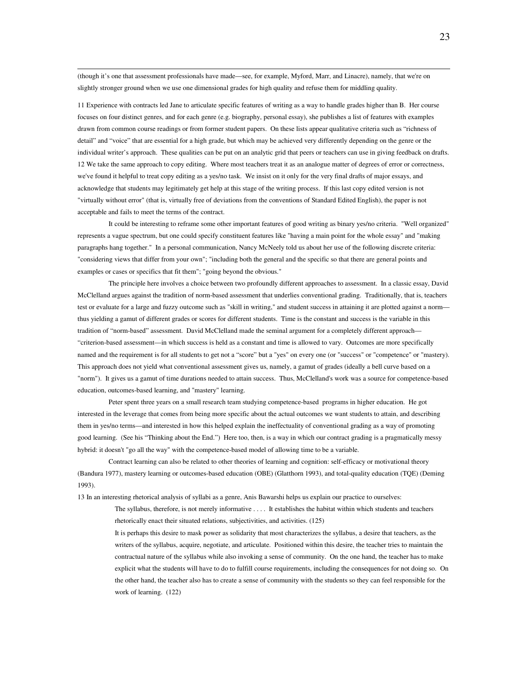(though it's one that assessment professionals have made—see, for example, Myford, Marr, and Linacre), namely, that we're on slightly stronger ground when we use one dimensional grades for high quality and refuse them for middling quality.

11 Experience with contracts led Jane to articulate specific features of writing as a way to handle grades higher than B. Her course focuses on four distinct genres, and for each genre (e.g. biography, personal essay), she publishes a list of features with examples drawn from common course readings or from former student papers. On these lists appear qualitative criteria such as "richness of detail" and "voice" that are essential for a high grade, but which may be achieved very differently depending on the genre or the individual writer's approach. These qualities can be put on an analytic grid that peers or teachers can use in giving feedback on drafts. 12 We take the same approach to copy editing. Where most teachers treat it as an analogue matter of degrees of error or correctness, we've found it helpful to treat copy editing as a yes/no task. We insist on it only for the very final drafts of major essays, and acknowledge that students may legitimately get help at this stage of the writing process. If this last copy edited version is not "virtually without error" (that is, virtually free of deviations from the conventions of Standard Edited English), the paper is not acceptable and fails to meet the terms of the contract.

 It could be interesting to reframe some other important features of good writing as binary yes/no criteria. "Well organized" represents a vague spectrum, but one could specify constituent features like "having a main point for the whole essay" and "making paragraphs hang together." In a personal communication, Nancy McNeely told us about her use of the following discrete criteria: "considering views that differ from your own"; "including both the general and the specific so that there are general points and examples or cases or specifics that fit them"; "going beyond the obvious."

The principle here involves a choice between two profoundly different approaches to assessment. In a classic essay, David McClelland argues against the tradition of norm-based assessment that underlies conventional grading. Traditionally, that is, teachers test or evaluate for a large and fuzzy outcome such as "skill in writing," and student success in attaining it are plotted against a norm thus yielding a gamut of different grades or scores for different students. Time is the constant and success is the variable in this tradition of "norm-based" assessment. David McClelland made the seminal argument for a completely different approach— "criterion-based assessment—in which success is held as a constant and time is allowed to vary. Outcomes are more specifically named and the requirement is for all students to get not a "score" but a "yes" on every one (or "success" or "competence" or "mastery). This approach does not yield what conventional assessment gives us, namely, a gamut of grades (ideally a bell curve based on a "norm"). It gives us a gamut of time durations needed to attain success. Thus, McClelland's work was a source for competence-based education, outcomes-based learning, and "mastery" learning.

Peter spent three years on a small research team studying competence-based programs in higher education. He got interested in the leverage that comes from being more specific about the actual outcomes we want students to attain, and describing them in yes/no terms—and interested in how this helped explain the ineffectuality of conventional grading as a way of promoting good learning. (See his "Thinking about the End.") Here too, then, is a way in which our contract grading is a pragmatically messy hybrid: it doesn't "go all the way" with the competence-based model of allowing time to be a variable.

Contract learning can also be related to other theories of learning and cognition: self-efficacy or motivational theory (Bandura 1977), mastery learning or outcomes-based education (OBE) (Glatthorn 1993), and total-quality education (TQE) (Deming 1993).

13 In an interesting rhetorical analysis of syllabi as a genre, Anis Bawarshi helps us explain our practice to ourselves:

The syllabus, therefore, is not merely informative . . . . It establishes the habitat within which students and teachers rhetorically enact their situated relations, subjectivities, and activities. (125)

It is perhaps this desire to mask power as solidarity that most characterizes the syllabus, a desire that teachers, as the writers of the syllabus, acquire, negotiate, and articulate. Positioned within this desire, the teacher tries to maintain the contractual nature of the syllabus while also invoking a sense of community. On the one hand, the teacher has to make explicit what the students will have to do to fulfill course requirements, including the consequences for not doing so. On the other hand, the teacher also has to create a sense of community with the students so they can feel responsible for the work of learning. (122)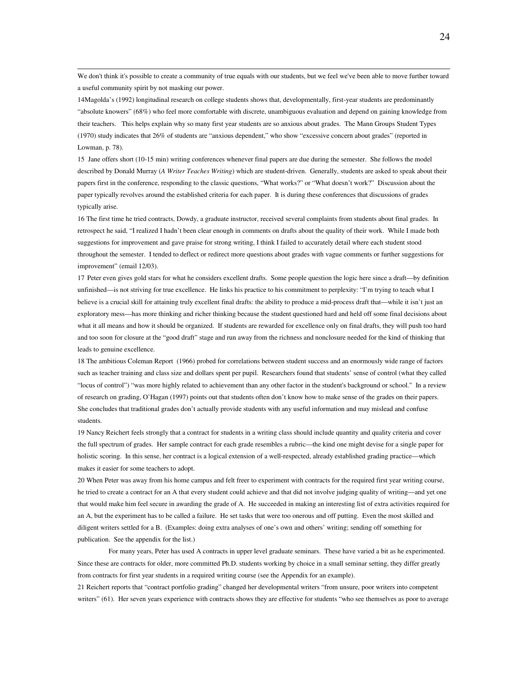We don't think it's possible to create a community of true equals with our students, but we feel we've been able to move further toward a useful community spirit by not masking our power.

14Magolda's (1992) longitudinal research on college students shows that, developmentally, first-year students are predominantly "absolute knowers" (68%) who feel more comfortable with discrete, unambiguous evaluation and depend on gaining knowledge from their teachers. This helps explain why so many first year students are so anxious about grades. The Mann Groups Student Types (1970) study indicates that 26% of students are "anxious dependent," who show "excessive concern about grades" (reported in Lowman, p. 78).

15 Jane offers short (10-15 min) writing conferences whenever final papers are due during the semester. She follows the model described by Donald Murray (*A Writer Teaches Writing*) which are student-driven. Generally, students are asked to speak about their papers first in the conference, responding to the classic questions, "What works?" or "What doesn't work?" Discussion about the paper typically revolves around the established criteria for each paper. It is during these conferences that discussions of grades typically arise.

16 The first time he tried contracts, Dowdy, a graduate instructor, received several complaints from students about final grades. In retrospect he said, "I realized I hadn't been clear enough in comments on drafts about the quality of their work. While I made both suggestions for improvement and gave praise for strong writing, I think I failed to accurately detail where each student stood throughout the semester. I tended to deflect or redirect more questions about grades with vague comments or further suggestions for improvement" (email 12/03).

17 Peter even gives gold stars for what he considers excellent drafts. Some people question the logic here since a draft—by definition unfinished—is not striving for true excellence. He links his practice to his commitment to perplexity: "I'm trying to teach what I believe is a crucial skill for attaining truly excellent final drafts: the ability to produce a mid-process draft that—while it isn't just an exploratory mess—has more thinking and richer thinking because the student questioned hard and held off some final decisions about what it all means and how it should be organized. If students are rewarded for excellence only on final drafts, they will push too hard and too soon for closure at the "good draft" stage and run away from the richness and nonclosure needed for the kind of thinking that leads to genuine excellence.

18 The ambitious Coleman Report (1966) probed for correlations between student success and an enormously wide range of factors such as teacher training and class size and dollars spent per pupil. Researchers found that students' sense of control (what they called "locus of control") "was more highly related to achievement than any other factor in the student's background or school." In a review of research on grading, O'Hagan (1997) points out that students often don't know how to make sense of the grades on their papers. She concludes that traditional grades don't actually provide students with any useful information and may mislead and confuse students.

19 Nancy Reichert feels strongly that a contract for students in a writing class should include quantity and quality criteria and cover the full spectrum of grades. Her sample contract for each grade resembles a rubric—the kind one might devise for a single paper for holistic scoring. In this sense, her contract is a logical extension of a well-respected, already established grading practice—which makes it easier for some teachers to adopt.

20 When Peter was away from his home campus and felt freer to experiment with contracts for the required first year writing course, he tried to create a contract for an A that every student could achieve and that did not involve judging quality of writing—and yet one that would make him feel secure in awarding the grade of A. He succeeded in making an interesting list of extra activities required for an A, but the experiment has to be called a failure. He set tasks that were too onerous and off putting. Even the most skilled and diligent writers settled for a B. (Examples: doing extra analyses of one's own and others' writing; sending off something for publication. See the appendix for the list.)

For many years, Peter has used A contracts in upper level graduate seminars. These have varied a bit as he experimented. Since these are contracts for older, more committed Ph.D. students working by choice in a small seminar setting, they differ greatly from contracts for first year students in a required writing course (see the Appendix for an example).

21 Reichert reports that "contract portfolio grading" changed her developmental writers "from unsure, poor writers into competent writers" (61). Her seven years experience with contracts shows they are effective for students "who see themselves as poor to average